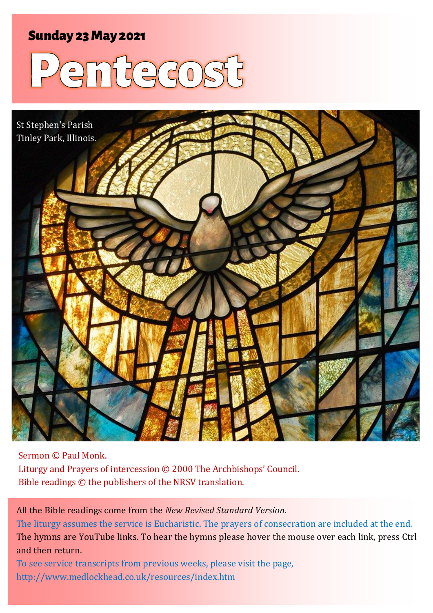# Sunday 23 May 2021 1 Pentecost (White Sunday)





Sermon © Paul Monk.

Liturgy and Prayers of intercession © 2000 The Archbishops' Council. Bible readings © the publishers of the NRSV translation.

All the Bible readings come from the *New Revised Standard Version*.

The liturgy assumes the service is Eucharistic. The prayers of consecration are included at the end. The hymns are YouTube links. To hear the hymns please hover the mouse over each link, press Ctrl and then return.

To see service transcripts from previous weeks, please visit the page, <http://www.medlockhead.co.uk/resources/index.htm>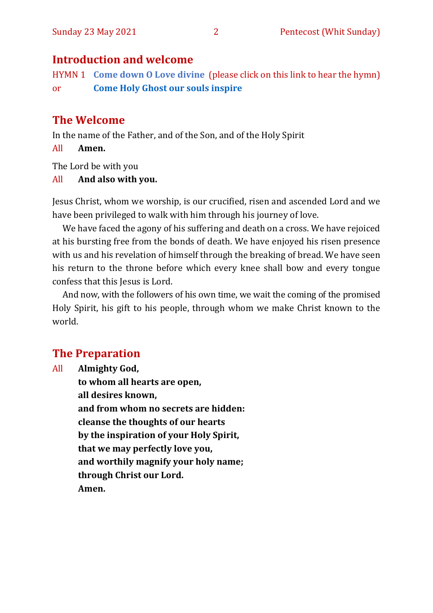### **Introduction and welcome**

HYMN 1 **[Come down O Love divine](https://youtu.be/FbPclyCaY0w)** (please click on this link to hear the hymn) or **[Come Holy Ghost our souls inspire](https://www.youtube.com/watch?v=kmRbc9cf-dw)**

# **The Welcome**

In the name of the Father, and of the Son, and of the Holy Spirit

All **Amen.**

The Lord be with you

#### All **And also with you.**

Jesus Christ, whom we worship, is our crucified, risen and ascended Lord and we have been privileged to walk with him through his journey of love.

We have faced the agony of his suffering and death on a cross. We have rejoiced at his bursting free from the bonds of death. We have enjoyed his risen presence with us and his revelation of himself through the breaking of bread. We have seen his return to the throne before which every knee shall bow and every tongue confess that this Jesus is Lord.

And now, with the followers of his own time, we wait the coming of the promised Holy Spirit, his gift to his people, through whom we make Christ known to the world.

**The Preparation** All **Almighty God, to whom all hearts are open, all desires known, and from whom no secrets are hidden: cleanse the thoughts of our hearts by the inspiration of your Holy Spirit, that we may perfectly love you, and worthily magnify your holy name; through Christ our Lord. Amen.**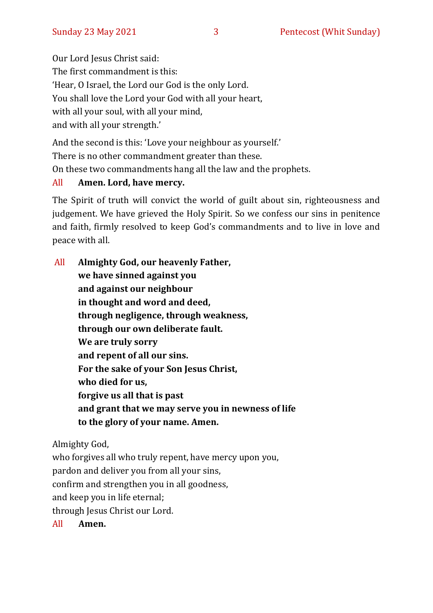Our Lord Jesus Christ said: The first commandment is this: 'Hear, O Israel, the Lord our God is the only Lord. You shall love the Lord your God with all your heart, with all your soul, with all your mind, and with all your strength.'

And the second is this: 'Love your neighbour as yourself.'

There is no other commandment greater than these.

On these two commandments hang all the law and the prophets.

#### All **Amen. Lord, have mercy.**

The Spirit of truth will convict the world of guilt about sin, righteousness and judgement. We have grieved the Holy Spirit. So we confess our sins in penitence and faith, firmly resolved to keep God's commandments and to live in love and peace with all.

All **Almighty God, our heavenly Father, we have sinned against you and against our neighbour in thought and word and deed, through negligence, through weakness, through our own deliberate fault. We are truly sorry and repent of all our sins. For the sake of your Son Jesus Christ, who died for us, forgive us all that is past and grant that we may serve you in newness of life to the glory of your name. Amen.**

Almighty God,

who forgives all who truly repent, have mercy upon you, pardon and deliver you from all your sins, confirm and strengthen you in all goodness, and keep you in life eternal; through Jesus Christ our Lord.

All **Amen.**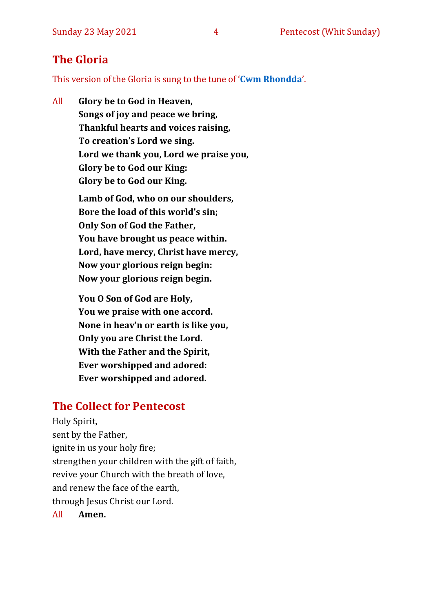# **The Gloria**

This version of the Gloria is sung to the tune of '**[Cwm Rhondda](https://www.youtube.com/watch?v=l71MLQ22dIk)**'.

All **Glory be to God in Heaven, Songs of joy and peace we bring, Thankful hearts and voices raising, To creation's Lord we sing. Lord we thank you, Lord we praise you, Glory be to God our King: Glory be to God our King.**

> **Lamb of God, who on our shoulders, Bore the load of this world's sin; Only Son of God the Father, You have brought us peace within. Lord, have mercy, Christ have mercy, Now your glorious reign begin: Now your glorious reign begin.**

**You O Son of God are Holy, You we praise with one accord. None in heav'n or earth is like you, Only you are Christ the Lord. With the Father and the Spirit, Ever worshipped and adored: Ever worshipped and adored.**

# **The Collect for Pentecost**

Holy Spirit, sent by the Father, ignite in us your holy fire; strengthen your children with the gift of faith, revive your Church with the breath of love, and renew the face of the earth, through Jesus Christ our Lord.

All **Amen.**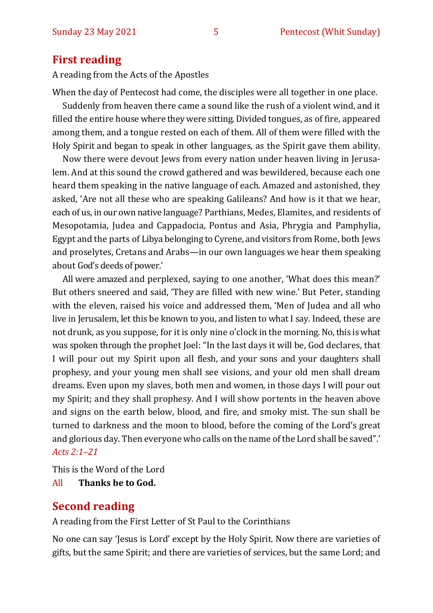# **First reading**

A reading from the Acts of the Apostles

When the day of Pentecost had come, the disciples were all together in one place.

Suddenly from heaven there came a sound like the rush of a violent wind, and it filled the entire house where they were sitting. Divided tongues, as of fire, appeared among them, and a tongue rested on each of them. All of them were filled with the Holy Spirit and began to speak in other languages, as the Spirit gave them ability.

Now there were devout Jews from every nation under heaven living in Jerusalem. And at this sound the crowd gathered and was bewildered, because each one heard them speaking in the native language of each. Amazed and astonished, they asked, 'Are not all these who are speaking Galileans? And how is it that we hear, each of us, in our own native language? Parthians, Medes, Elamites, and residents of Mesopotamia, Judea and Cappadocia, Pontus and Asia, Phrygia and Pamphylia, Egypt and the parts of Libya belonging to Cyrene, and visitors from Rome, both Jews and proselytes, Cretans and Arabs—in our own languages we hear them speaking about God's deeds of power.'

All were amazed and perplexed, saying to one another, 'What does this mean?' But others sneered and said, 'They are filled with new wine.' But Peter, standing with the eleven, raised his voice and addressed them, 'Men of Judea and all who live in Jerusalem, let this be known to you, and listen to what I say. Indeed, these are not drunk, as you suppose, for it is only nine o'clock in the morning. No, this is what was spoken through the prophet Joel: "In the last days it will be, God declares, that I will pour out my Spirit upon all flesh, and your sons and your daughters shall prophesy, and your young men shall see visions, and your old men shall dream dreams. Even upon my slaves, both men and women, in those days I will pour out my Spirit; and they shall prophesy. And I will show portents in the heaven above and signs on the earth below, blood, and fire, and smoky mist. The sun shall be turned to darkness and the moon to blood, before the coming of the Lord's great and glorious day. Then everyone who calls on the name of the Lord shall be saved".' *Acts 2:1–21*

This is the Word of the Lord

All **Thanks be to God.**

# **Second reading**

A reading from the First Letter of St Paul to the Corinthians

No one can say 'Jesus is Lord' except by the Holy Spirit. Now there are varieties of gifts, but the same Spirit; and there are varieties of services, but the same Lord; and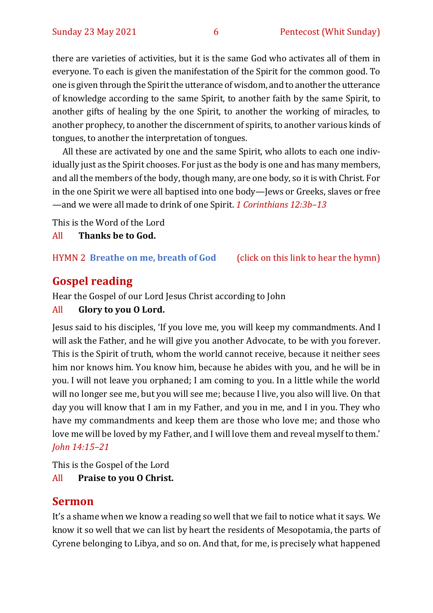there are varieties of activities, but it is the same God who activates all of them in everyone. To each is given the manifestation of the Spirit for the common good. To one is given through the Spirit the utterance of wisdom, and to another the utterance of knowledge according to the same Spirit, to another faith by the same Spirit, to another gifts of healing by the one Spirit, to another the working of miracles, to another prophecy, to another the discernment of spirits, to another various kinds of tongues, to another the interpretation of tongues.

All these are activated by one and the same Spirit, who allots to each one individually just as the Spirit chooses. For just as the body is one and has many members, and all the members of the body, though many, are one body, so it is with Christ. For in the one Spirit we were all baptised into one body—Jews or Greeks, slaves or free —and we were all made to drink of one Spirit. *1 Corinthians 12:3b–13*

This is the Word of the Lord

All **Thanks be to God.**

HYMN 2 **[Breathe on me, breath of God](https://youtu.be/M5keJHZdWYM)** (click on this link to hear the hymn)

# **Gospel reading**

Hear the Gospel of our Lord Jesus Christ according to John

#### All **Glory to you O Lord.**

Jesus said to his disciples, 'If you love me, you will keep my commandments. And I will ask the Father, and he will give you another Advocate, to be with you forever. This is the Spirit of truth, whom the world cannot receive, because it neither sees him nor knows him. You know him, because he abides with you, and he will be in you. I will not leave you orphaned; I am coming to you. In a little while the world will no longer see me, but you will see me; because I live, you also will live. On that day you will know that I am in my Father, and you in me, and I in you. They who have my commandments and keep them are those who love me; and those who love me will be loved by my Father, and I will love them and reveal myself to them.' *John 14:15–21*

This is the Gospel of the Lord

All **Praise to you O Christ.** 

# **Sermon**

It's a shame when we know a reading so well that we fail to notice what it says. We know it so well that we can list by heart the residents of Mesopotamia, the parts of Cyrene belonging to Libya, and so on. And that, for me, is precisely what happened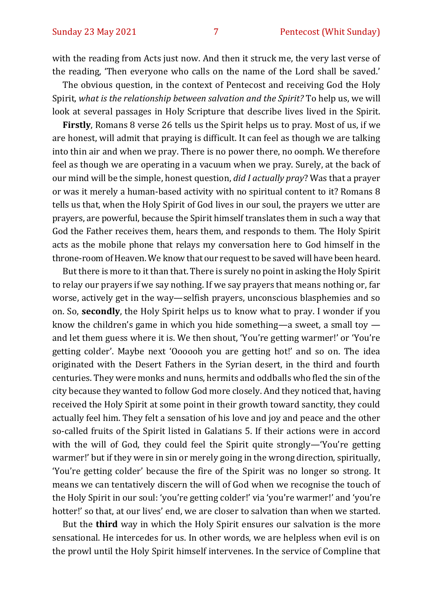with the reading from Acts just now. And then it struck me, the very last verse of the reading, 'Then everyone who calls on the name of the Lord shall be saved.'

The obvious question, in the context of Pentecost and receiving God the Holy Spirit, *what is the relationship between salvation and the Spirit?* To help us, we will look at several passages in Holy Scripture that describe lives lived in the Spirit.

**Firstly**, Romans 8 verse 26 tells us the Spirit helps us to pray. Most of us, if we are honest, will admit that praying is difficult. It can feel as though we are talking into thin air and when we pray. There is no power there, no oomph. We therefore feel as though we are operating in a vacuum when we pray. Surely, at the back of our mind will be the simple, honest question, *did I actually pray*? Was that a prayer or was it merely a human-based activity with no spiritual content to it? Romans 8 tells us that, when the Holy Spirit of God lives in our soul, the prayers we utter are prayers, are powerful, because the Spirit himself translates them in such a way that God the Father receives them, hears them, and responds to them. The Holy Spirit acts as the mobile phone that relays my conversation here to God himself in the throne-room of Heaven. We know that our request to be saved will have been heard.

But there is more to it than that. There is surely no point in asking the Holy Spirit to relay our prayers if we say nothing. If we say prayers that means nothing or, far worse, actively get in the way—selfish prayers, unconscious blasphemies and so on. So, **secondly**, the Holy Spirit helps us to know what to pray. I wonder if you know the children's game in which you hide something—a sweet, a small toy and let them guess where it is. We then shout, 'You're getting warmer!' or 'You're getting colder'. Maybe next 'Oooooh you are getting hot!' and so on. The idea originated with the Desert Fathers in the Syrian desert, in the third and fourth centuries. They were monks and nuns, hermits and oddballs who fled the sin of the city because they wanted to follow God more closely. And they noticed that, having received the Holy Spirit at some point in their growth toward sanctity, they could actually feel him. They felt a sensation of his love and joy and peace and the other so-called fruits of the Spirit listed in Galatians 5. If their actions were in accord with the will of God, they could feel the Spirit quite strongly—'You're getting warmer!' but if they were in sin or merely going in the wrong direction, spiritually, 'You're getting colder' because the fire of the Spirit was no longer so strong. It means we can tentatively discern the will of God when we recognise the touch of the Holy Spirit in our soul: 'you're getting colder!' via 'you're warmer!' and 'you're hotter!' so that, at our lives' end, we are closer to salvation than when we started.

But the **third** way in which the Holy Spirit ensures our salvation is the more sensational. He intercedes for us. In other words, we are helpless when evil is on the prowl until the Holy Spirit himself intervenes. In the service of Compline that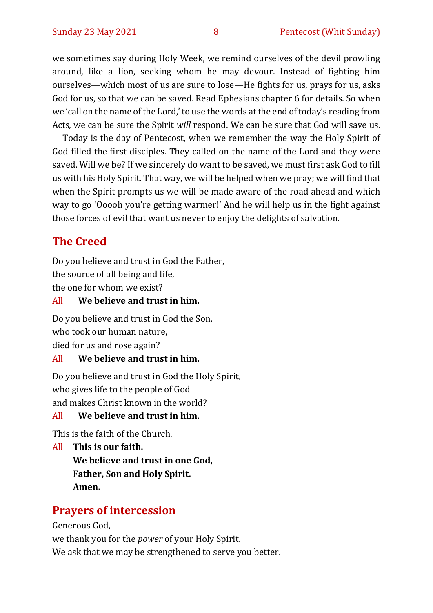we sometimes say during Holy Week, we remind ourselves of the devil prowling around, like a lion, seeking whom he may devour. Instead of fighting him ourselves—which most of us are sure to lose—He fights for us, prays for us, asks God for us, so that we can be saved. Read Ephesians chapter 6 for details. So when we 'call on the name of the Lord,' to use the words at the end of today's reading from Acts, we can be sure the Spirit *will* respond. We can be sure that God will save us.

Today is the day of Pentecost, when we remember the way the Holy Spirit of God filled the first disciples. They called on the name of the Lord and they were saved. Will we be? If we sincerely do want to be saved, we must first ask God to fill us with his Holy Spirit. That way, we will be helped when we pray; we will find that when the Spirit prompts us we will be made aware of the road ahead and which way to go 'Ooooh you're getting warmer!' And he will help us in the fight against those forces of evil that want us never to enjoy the delights of salvation.

# **The Creed**

Do you believe and trust in God the Father, the source of all being and life,

the one for whom we exist?

#### All **We believe and trust in him.**

Do you believe and trust in God the Son, who took our human nature, died for us and rose again?

#### All **We believe and trust in him.**

Do you believe and trust in God the Holy Spirit, who gives life to the people of God and makes Christ known in the world?

#### All **We believe and trust in him.**

This is the faith of the Church.

All **This is our faith. We believe and trust in one God, Father, Son and Holy Spirit. Amen.**

# **Prayers of intercession**

Generous God,

we thank you for the *power* of your Holy Spirit. We ask that we may be strengthened to serve you better.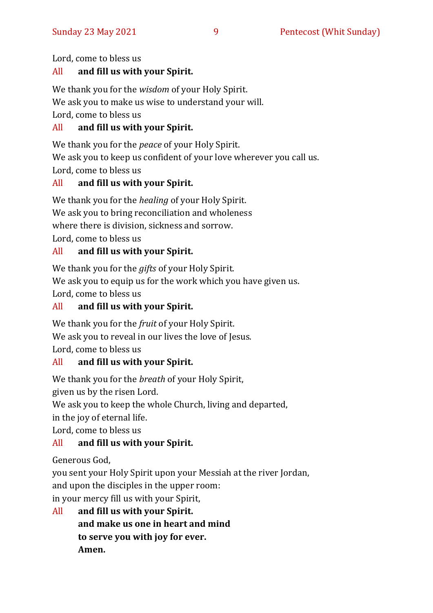Lord, come to bless us

## All **and fill us with your Spirit.**

We thank you for the *wisdom* of your Holy Spirit.

We ask you to make us wise to understand your will.

Lord, come to bless us

# All **and fill us with your Spirit.**

We thank you for the *peace* of your Holy Spirit.

We ask you to keep us confident of your love wherever you call us.

Lord, come to bless us

## All **and fill us with your Spirit.**

We thank you for the *healing* of your Holy Spirit. We ask you to bring reconciliation and wholeness where there is division, sickness and sorrow. Lord, come to bless us

## All **and fill us with your Spirit.**

We thank you for the *gifts* of your Holy Spirit.

We ask you to equip us for the work which you have given us.

Lord, come to bless us

# All **and fill us with your Spirit.**

We thank you for the *fruit* of your Holy Spirit. We ask you to reveal in our lives the love of Jesus.

Lord, come to bless us

# All **and fill us with your Spirit.**

We thank you for the *breath* of your Holy Spirit,

given us by the risen Lord.

We ask you to keep the whole Church, living and departed,

in the joy of eternal life.

Lord, come to bless us

# All **and fill us with your Spirit.**

Generous God,

you sent your Holy Spirit upon your Messiah at the river Jordan, and upon the disciples in the upper room:

in your mercy fill us with your Spirit,

#### All **and fill us with your Spirit.**

**and make us one in heart and mind to serve you with joy for ever. Amen.**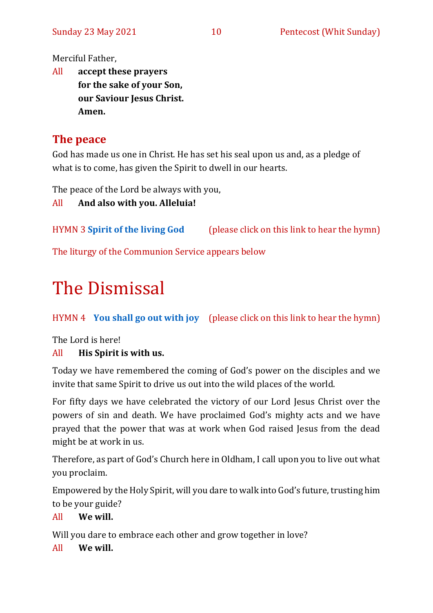Merciful Father,

All **accept these prayers for the sake of your Son, our Saviour Jesus Christ. Amen.**

# **The peace**

God has made us one in Christ. He has set his seal upon us and, as a pledge of what is to come, has given the Spirit to dwell in our hearts.

The peace of the Lord be always with you,

All **And also with you. Alleluia!**

HYMN 3 **[Spirit of the living God](https://youtu.be/Y2t3TfhoNE8)** (please click on this link to hear the hymn)

The liturgy of the Communion Service appears below

# The Dismissal

HYMN 4 **[You shall go out with joy](https://youtu.be/A_suMalwyN4)** (please click on this link to hear the hymn)

The Lord is here!

#### All **His Spirit is with us.**

Today we have remembered the coming of God's power on the disciples and we invite that same Spirit to drive us out into the wild places of the world.

For fifty days we have celebrated the victory of our Lord Jesus Christ over the powers of sin and death. We have proclaimed God's mighty acts and we have prayed that the power that was at work when God raised Jesus from the dead might be at work in us.

Therefore, as part of God's Church here in Oldham, I call upon you to live out what you proclaim.

Empowered by the Holy Spirit, will you dare to walk into God's future, trusting him to be your guide?

#### All **We will.**

Will you dare to embrace each other and grow together in love?

#### All **We will.**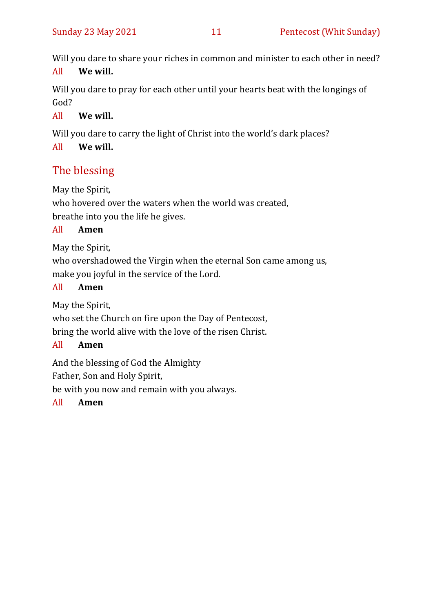Will you dare to share your riches in common and minister to each other in need?

### All **We will.**

Will you dare to pray for each other until your hearts beat with the longings of God?

All **We will.**

Will you dare to carry the light of Christ into the world's dark places?

All **We will.**

# The blessing

May the Spirit,

who hovered over the waters when the world was created, breathe into you the life he gives.

#### All **Amen**

May the Spirit,

who overshadowed the Virgin when the eternal Son came among us, make you joyful in the service of the Lord.

#### All **Amen**

May the Spirit,

who set the Church on fire upon the Day of Pentecost, bring the world alive with the love of the risen Christ.

#### All **Amen**

And the blessing of God the Almighty

Father, Son and Holy Spirit,

be with you now and remain with you always.

#### All **Amen**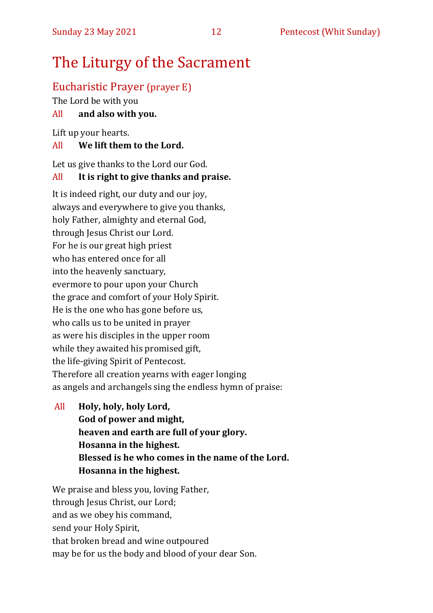# The Liturgy of the Sacrament

# Eucharistic Prayer (prayer E)

The Lord be with you

## All **and also with you.**

Lift up your hearts.

#### All **We lift them to the Lord.**

Let us give thanks to the Lord our God.

#### All **It is right to give thanks and praise.**

It is indeed right, our duty and our joy, always and everywhere to give you thanks, holy Father, almighty and eternal God, through Jesus Christ our Lord. For he is our great high priest who has entered once for all into the heavenly sanctuary, evermore to pour upon your Church the grace and comfort of your Holy Spirit. He is the one who has gone before us, who calls us to be united in prayer as were his disciples in the upper room while they awaited his promised gift, the life-giving Spirit of Pentecost. Therefore all creation yearns with eager longing as angels and archangels sing the endless hymn of praise:

All **Holy, holy, holy Lord,**

**God of power and might, heaven and earth are full of your glory. Hosanna in the highest. Blessed is he who comes in the name of the Lord. Hosanna in the highest.**

We praise and bless you, loving Father, through Jesus Christ, our Lord; and as we obey his command, send your Holy Spirit, that broken bread and wine outpoured may be for us the body and blood of your dear Son.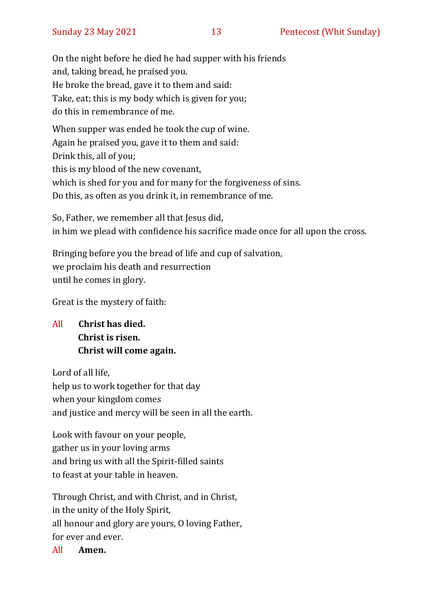On the night before he died he had supper with his friends and, taking bread, he praised you. He broke the bread, gave it to them and said: Take, eat; this is my body which is given for you; do this in remembrance of me.

When supper was ended he took the cup of wine. Again he praised you, gave it to them and said: Drink this, all of you; this is my blood of the new covenant, which is shed for you and for many for the forgiveness of sins. Do this, as often as you drink it, in remembrance of me.

So, Father, we remember all that Jesus did, in him we plead with confidence his sacrifice made once for all upon the cross.

Bringing before you the bread of life and cup of salvation, we proclaim his death and resurrection until he comes in glory.

Great is the mystery of faith:

All **Christ has died. Christ is risen. Christ will come again.**

Lord of all life, help us to work together for that day when your kingdom comes and justice and mercy will be seen in all the earth.

Look with favour on your people, gather us in your loving arms and bring us with all the Spirit-filled saints to feast at your table in heaven.

Through Christ, and with Christ, and in Christ, in the unity of the Holy Spirit, all honour and glory are yours, O loving Father, for ever and ever.

All **Amen.**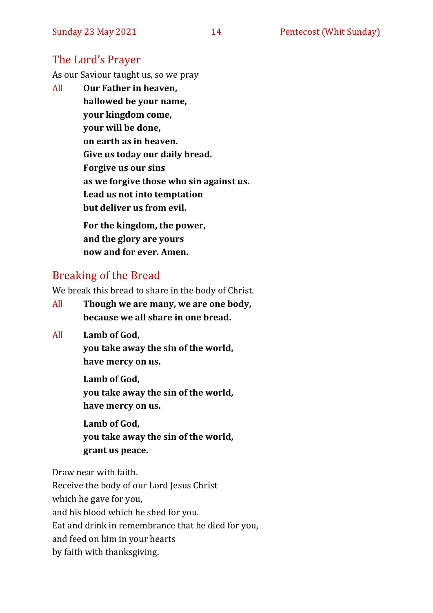# The Lord's Prayer

As our Saviour taught us, so we pray

All **Our Father in heaven, hallowed be your name, your kingdom come, your will be done, on earth as in heaven. Give us today our daily bread. Forgive us our sins as we forgive those who sin against us. Lead us not into temptation but deliver us from evil. For the kingdom, the power,** 

**and the glory are yours now and for ever. Amen.**

# Breaking of the Bread

We break this bread to share in the body of Christ.

- All **Though we are many, we are one body, because we all share in one bread.**
- All **Lamb of God,**

**you take away the sin of the world, have mercy on us.**

**Lamb of God, you take away the sin of the world, have mercy on us.**

**Lamb of God, you take away the sin of the world, grant us peace.**

Draw near with faith.

Receive the body of our Lord Jesus Christ

which he gave for you,

and his blood which he shed for you.

Eat and drink in remembrance that he died for you,

and feed on him in your hearts

by faith with thanksgiving.